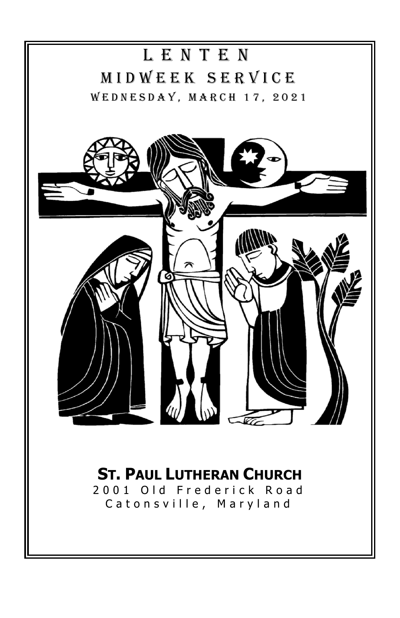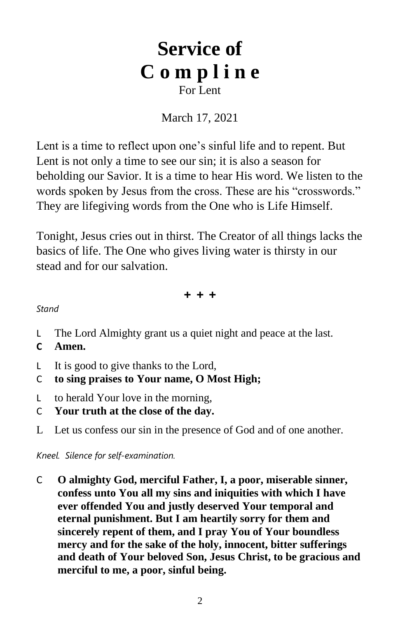# **Service of C o m p l i n e** For Lent

# March 17, 2021

Lent is a time to reflect upon one's sinful life and to repent. But Lent is not only a time to see our sin; it is also a season for beholding our Savior. It is a time to hear His word. We listen to the words spoken by Jesus from the cross. These are his "crosswords." They are lifegiving words from the One who is Life Himself.

Tonight, Jesus cries out in thirst. The Creator of all things lacks the basics of life. The One who gives living water is thirsty in our stead and for our salvation.

**+ + +**

*Stand*

- L The Lord Almighty grant us a quiet night and peace at the last.
- **C Amen.**
- L It is good to give thanks to the Lord,
- C **to sing praises to Your name, O Most High;**
- L to herald Your love in the morning,
- C **Your truth at the close of the day.**
- L Let us confess our sin in the presence of God and of one another.

*Kneel. Silence for self-examination.*

C **O almighty God, merciful Father, I, a poor, miserable sinner, confess unto You all my sins and iniquities with which I have ever offended You and justly deserved Your temporal and eternal punishment. But I am heartily sorry for them and sincerely repent of them, and I pray You of Your boundless mercy and for the sake of the holy, innocent, bitter sufferings and death of Your beloved Son, Jesus Christ, to be gracious and merciful to me, a poor, sinful being.**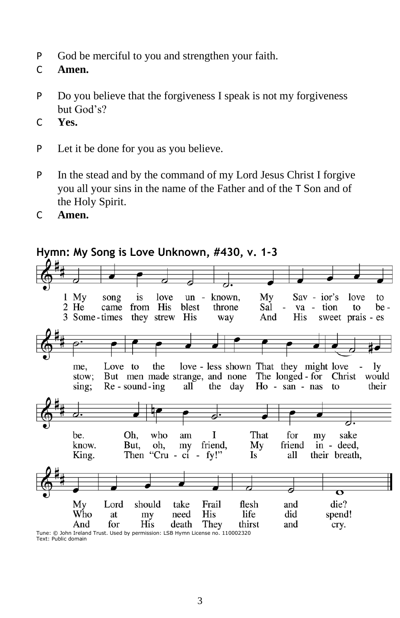- P God be merciful to you and strengthen your faith.
- C **Amen.**
- P Do you believe that the forgiveness I speak is not my forgiveness but God's?
- C **Yes.**
- P Let it be done for you as you believe.
- P In the stead and by the command of my Lord Jesus Christ I forgive you all your sins in the name of the Father and of the T Son and of the Holy Spirit.
- C **Amen.**



Tune: © John Ireland Trust. Used by permission: LSB Hymn License no. 110002320 Text: Public domain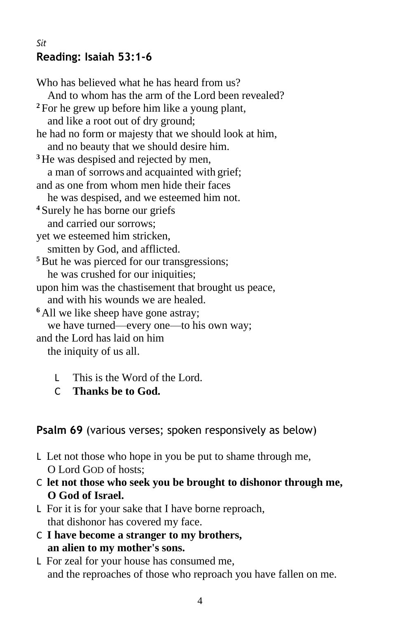## *Sit*  **Reading: Isaiah 53:1-6**

Who has believed what he has heard from us? And to whom has the arm of the Lord been revealed? **<sup>2</sup>** For he grew up before him like a young plant, and like a root out of dry ground; he had no form or majesty that we should look at him, and no beauty that we should desire him. <sup>3</sup> He was despised and rejected by men, a man of sorrows and acquainted with grief; and as one from whom men hide their faces he was despised, and we esteemed him not. **<sup>4</sup>** Surely he has borne our griefs and carried our sorrows; yet we esteemed him stricken, smitten by God, and afflicted. <sup>5</sup>But he was pierced for our transgressions; he was crushed for our iniquities; upon him was the chastisement that brought us peace, and with his wounds we are healed. **<sup>6</sup>** All we like sheep have gone astray; we have turned—every one—to his own way; and the Lord has laid on him the iniquity of us all.

- L This is the Word of the Lord.
- C **Thanks be to God.**

# **Psalm 69** (various verses; spoken responsively as below)

- L Let not those who hope in you be put to shame through me, O Lord GOD of hosts;
- C **let not those who seek you be brought to dishonor through me, O God of Israel.**
- L For it is for your sake that I have borne reproach, that dishonor has covered my face.
- C **I have become a stranger to my brothers, an alien to my mother's sons.**
- L For zeal for your house has consumed me, and the reproaches of those who reproach you have fallen on me.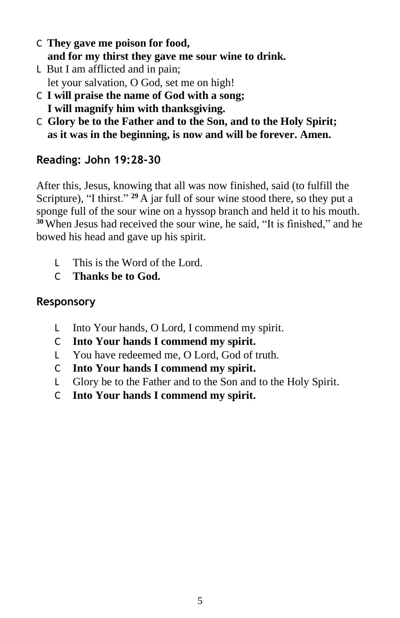- C **They gave me poison for food, and for my thirst they gave me sour wine to drink.**
- L But I am afflicted and in pain; let your salvation, O God, set me on high!
- C **I will praise the name of God with a song; I will magnify him with thanksgiving.**
- C **Glory be to the Father and to the Son, and to the Holy Spirit; as it was in the beginning, is now and will be forever. Amen.**

# **Reading: John 19:28-30**

After this, Jesus, knowing that all was now finished, said (to fulfill the Scripture), "I thirst." **<sup>29</sup>** A jar full of sour wine stood there, so they put a sponge full of the sour wine on a hyssop branch and held it to his mouth. **<sup>30</sup>** When Jesus had received the sour wine, he said, "It is finished," and he bowed his head and gave up his spirit.

- L This is the Word of the Lord.
- C **Thanks be to God.**

# **Responsory**

- L Into Your hands, O Lord, I commend my spirit.
- C **Into Your hands I commend my spirit.**
- L You have redeemed me, O Lord, God of truth.
- C **Into Your hands I commend my spirit.**
- L Glory be to the Father and to the Son and to the Holy Spirit.
- C **Into Your hands I commend my spirit.**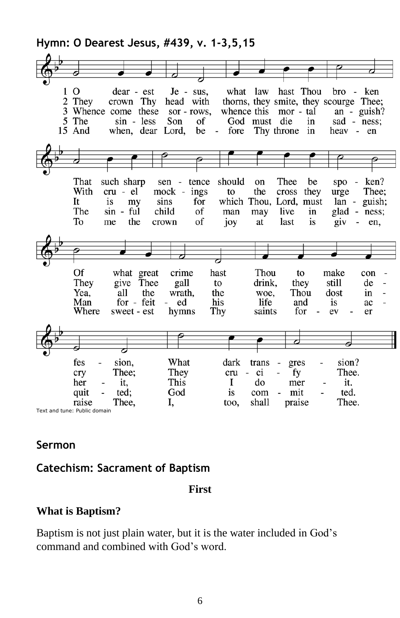**Hymn: O Dearest Jesus, #439, v. 1-3,5,15**

| 1<br>2 | Ω<br>They<br>5 The<br>15 And    | dear - est<br>crown Thy<br>3 Whence come these<br>$sin - less$<br>when, dear Lord, | Je - sus,<br>head with<br>sor - rows,<br>Son                                                         | what<br>of<br>be<br>$\overline{\phantom{a}}$ | law<br>God must<br>fore Thy throne | hast Thou<br>thorns, they smite, they scourge Thee;<br>whence this mor - tal<br>die<br>in<br>in | $bro -$<br>heav - en                                | ken<br>an - $\text{quish}$ ?<br>sad - ness:                                                     |
|--------|---------------------------------|------------------------------------------------------------------------------------|------------------------------------------------------------------------------------------------------|----------------------------------------------|------------------------------------|-------------------------------------------------------------------------------------------------|-----------------------------------------------------|-------------------------------------------------------------------------------------------------|
|        |                                 |                                                                                    |                                                                                                      |                                              |                                    |                                                                                                 |                                                     |                                                                                                 |
|        |                                 |                                                                                    |                                                                                                      |                                              |                                    |                                                                                                 |                                                     |                                                                                                 |
|        |                                 |                                                                                    |                                                                                                      |                                              |                                    |                                                                                                 |                                                     |                                                                                                 |
|        | That<br>With<br>It<br>The<br>To | such sharp<br>cru - el<br>is<br>my<br>sin - ful<br>the<br>me                       | tence<br>sen<br>$\overline{\phantom{a}}$<br>mock - ings<br>sins<br>for<br>child<br>of<br>of<br>crown | should<br>to<br>man<br>joy                   | on<br>the<br>may<br>at             | Thee<br>be<br>they<br>cross<br>which Thou, Lord, must<br>live<br>in<br>is<br>last               | spo<br>urge<br>lan -<br>glad -<br>$\overline{q}$ iv | ken?<br>$\overline{\phantom{a}}$<br>Thee:<br>guish;<br>ness;<br>en,<br>$\overline{\phantom{a}}$ |
|        |                                 |                                                                                    |                                                                                                      |                                              |                                    |                                                                                                 |                                                     |                                                                                                 |
|        |                                 |                                                                                    |                                                                                                      |                                              |                                    |                                                                                                 |                                                     |                                                                                                 |
|        |                                 |                                                                                    |                                                                                                      |                                              |                                    |                                                                                                 |                                                     |                                                                                                 |
|        | Of                              | what great                                                                         | crime                                                                                                | hast                                         | Thou                               | to                                                                                              | make                                                | con                                                                                             |
|        | They                            | give Thee                                                                          | gall                                                                                                 | to                                           | drink,                             | they                                                                                            | still                                               | de                                                                                              |
|        | Yea,                            | all<br>the                                                                         | wrath,                                                                                               | the                                          | woe,                               | Thou                                                                                            | dost                                                | in                                                                                              |
|        | Man                             | for - feit                                                                         | ed                                                                                                   | his                                          | life                               | and                                                                                             | is                                                  | ac                                                                                              |
|        | Where                           | sweet - est                                                                        | hymns                                                                                                | Thy                                          | saints                             | for                                                                                             | ev<br>$\overline{a}$                                | er                                                                                              |
|        |                                 |                                                                                    |                                                                                                      |                                              |                                    |                                                                                                 |                                                     |                                                                                                 |
|        |                                 |                                                                                    |                                                                                                      |                                              |                                    |                                                                                                 |                                                     |                                                                                                 |
|        |                                 |                                                                                    |                                                                                                      |                                              |                                    |                                                                                                 |                                                     |                                                                                                 |
|        |                                 |                                                                                    |                                                                                                      |                                              |                                    |                                                                                                 |                                                     |                                                                                                 |
|        | fes                             | sion.                                                                              | What                                                                                                 | dark                                         | trans                              | gres<br>$\qquad \qquad \blacksquare$                                                            | sion?                                               |                                                                                                 |
|        | cry                             | Thee:                                                                              | They                                                                                                 | cru                                          | ci<br>$\sim$                       | fy                                                                                              | Thee.                                               |                                                                                                 |
|        | her                             | it,                                                                                | This                                                                                                 | I                                            | do                                 | mer                                                                                             | it.                                                 |                                                                                                 |
|        |                                 |                                                                                    |                                                                                                      |                                              |                                    |                                                                                                 |                                                     |                                                                                                 |
|        |                                 |                                                                                    |                                                                                                      |                                              |                                    |                                                                                                 |                                                     |                                                                                                 |
|        | quit<br>raise                   | ted:<br>Thee.                                                                      | God<br>I,                                                                                            | is<br>too,                                   | com<br>shall                       | mit<br>$\overline{\phantom{a}}$<br>praise                                                       | ted.<br>Thee.                                       |                                                                                                 |

## **Sermon**

# **Catechism: Sacrament of Baptism**

**First**

## **What is Baptism?**

Baptism is not just plain water, but it is the water included in God's command and combined with God's word.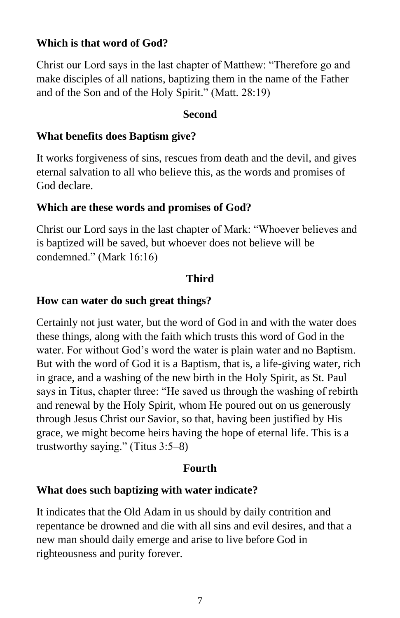## **Which is that word of God?**

Christ our Lord says in the last chapter of Matthew: "Therefore go and make disciples of all nations, baptizing them in the name of the Father and of the Son and of the Holy Spirit." (Matt. 28:19)

#### **Second**

#### **What benefits does Baptism give?**

It works forgiveness of sins, rescues from death and the devil, and gives eternal salvation to all who believe this, as the words and promises of God declare.

#### **Which are these words and promises of God?**

Christ our Lord says in the last chapter of Mark: "Whoever believes and is baptized will be saved, but whoever does not believe will be condemned." (Mark 16:16)

#### **Third**

#### **How can water do such great things?**

Certainly not just water, but the word of God in and with the water does these things, along with the faith which trusts this word of God in the water. For without God's word the water is plain water and no Baptism. But with the word of God it is a Baptism, that is, a life-giving water, rich in grace, and a washing of the new birth in the Holy Spirit, as St. Paul says in Titus, chapter three: "He saved us through the washing of rebirth and renewal by the Holy Spirit, whom He poured out on us generously through Jesus Christ our Savior, so that, having been justified by His grace, we might become heirs having the hope of eternal life. This is a trustworthy saying." (Titus 3:5–8)

### **Fourth**

#### **What does such baptizing with water indicate?**

It indicates that the Old Adam in us should by daily contrition and repentance be drowned and die with all sins and evil desires, and that a new man should daily emerge and arise to live before God in righteousness and purity forever.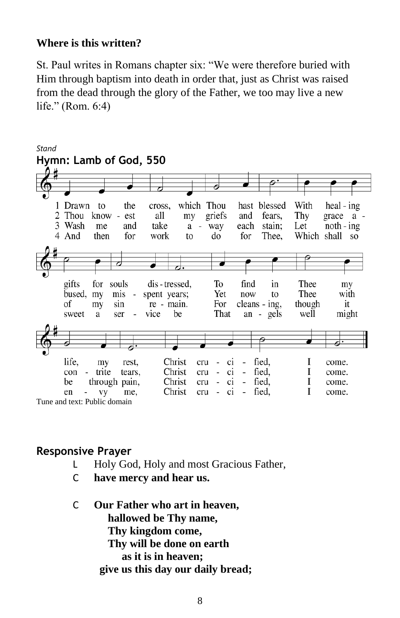### **Where is this written?**

St. Paul writes in Romans chapter six: "We were therefore buried with Him through baptism into death in order that, just as Christ was raised from the dead through the glory of the Father, we too may live a new life." (Rom. 6:4)



## **Responsive Prayer**

- L Holy God, Holy and most Gracious Father,
- C **have mercy and hear us.**
- C **Our Father who art in heaven, hallowed be Thy name, Thy kingdom come, Thy will be done on earth as it is in heaven; give us this day our daily bread;**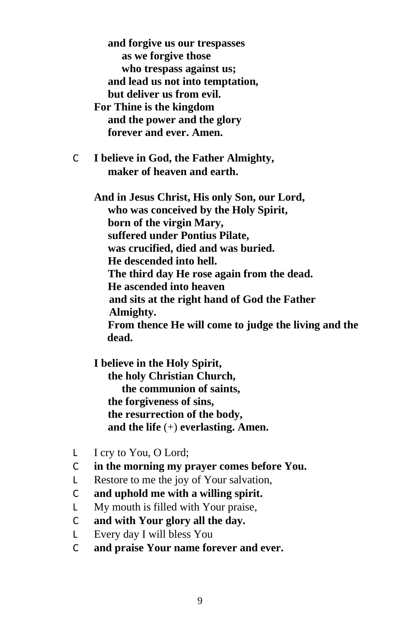**and forgive us our trespasses as we forgive those who trespass against us; and lead us not into temptation, but deliver us from evil. For Thine is the kingdom and the power and the glory forever and ever. Amen.**

C **I believe in God, the Father Almighty, maker of heaven and earth.**

> **And in Jesus Christ, His only Son, our Lord, who was conceived by the Holy Spirit, born of the virgin Mary, suffered under Pontius Pilate, was crucified, died and was buried. He descended into hell. The third day He rose again from the dead. He ascended into heaven and sits at the right hand of God the Father Almighty. From thence He will come to judge the living and the dead.**

**I believe in the Holy Spirit, the holy Christian Church, the communion of saints, the forgiveness of sins, the resurrection of the body, and the life** (+) **everlasting. Amen.**

- L I cry to You, O Lord;
- C **in the morning my prayer comes before You.**
- L Restore to me the joy of Your salvation,
- C **and uphold me with a willing spirit.**
- L My mouth is filled with Your praise,
- C **and with Your glory all the day.**
- L Every day I will bless You
- C **and praise Your name forever and ever.**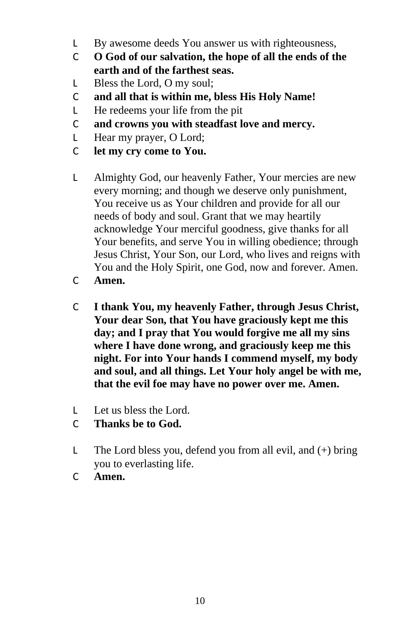- L By awesome deeds You answer us with righteousness,
- C **O God of our salvation, the hope of all the ends of the earth and of the farthest seas.**
- L Bless the Lord, O my soul;
- C **and all that is within me, bless His Holy Name!**
- L He redeems your life from the pit
- C **and crowns you with steadfast love and mercy.**
- L Hear my prayer, O Lord;
- C **let my cry come to You.**
- L Almighty God, our heavenly Father, Your mercies are new every morning; and though we deserve only punishment, You receive us as Your children and provide for all our needs of body and soul. Grant that we may heartily acknowledge Your merciful goodness, give thanks for all Your benefits, and serve You in willing obedience; through Jesus Christ, Your Son, our Lord, who lives and reigns with You and the Holy Spirit, one God, now and forever. Amen.
- C **Amen.**
- C **I thank You, my heavenly Father, through Jesus Christ, Your dear Son, that You have graciously kept me this day; and I pray that You would forgive me all my sins where I have done wrong, and graciously keep me this night. For into Your hands I commend myself, my body and soul, and all things. Let Your holy angel be with me, that the evil foe may have no power over me. Amen.**
- L Let us bless the Lord.
- C **Thanks be to God.**
- L The Lord bless you, defend you from all evil, and  $(+)$  bring you to everlasting life.
- C **Amen.**